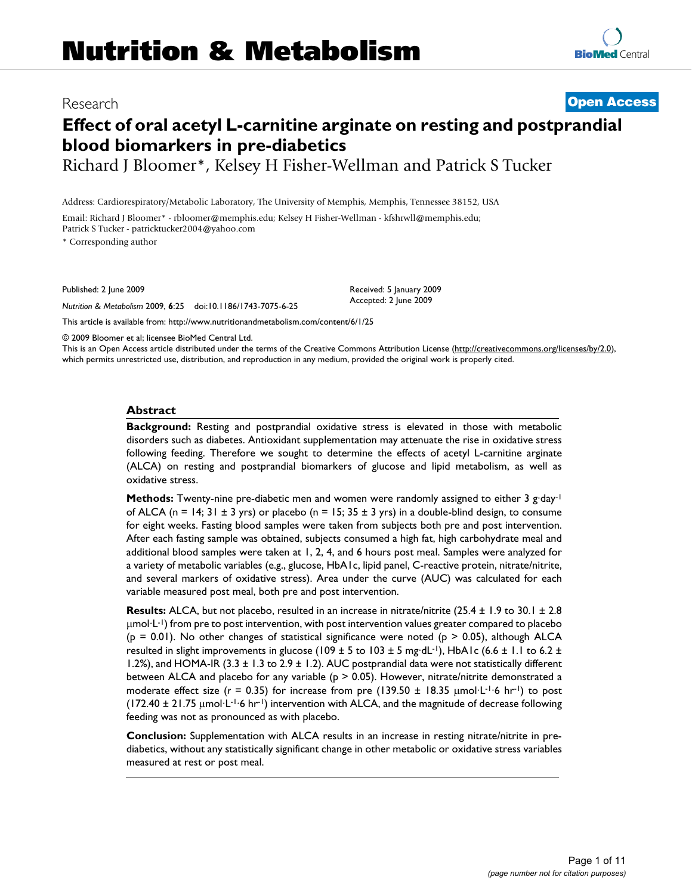# Research **[Open Access](http://www.biomedcentral.com/info/about/charter/)**

# **Effect of oral acetyl L-carnitine arginate on resting and postprandial blood biomarkers in pre-diabetics**

Richard J Bloomer\*, Kelsey H Fisher-Wellman and Patrick S Tucker

Received: 5 January 2009 Accepted: 2 June 2009

Email: Richard J Bloomer\* - rbloomer@memphis.edu; Kelsey H Fisher-Wellman - kfshrwll@memphis.edu; Patrick S Tucker - patricktucker2004@yahoo.com

\* Corresponding author

Published: 2 June 2009

*Nutrition & Metabolism* 2009, **6**:25 doi:10.1186/1743-7075-6-25

[This article is available from: http://www.nutritionandmetabolism.com/content/6/1/25](http://www.nutritionandmetabolism.com/content/6/1/25)

© 2009 Bloomer et al; licensee BioMed Central Ltd.

This is an Open Access article distributed under the terms of the Creative Commons Attribution License [\(http://creativecommons.org/licenses/by/2.0\)](http://creativecommons.org/licenses/by/2.0), which permits unrestricted use, distribution, and reproduction in any medium, provided the original work is properly cited.

## **Abstract**

**Background:** Resting and postprandial oxidative stress is elevated in those with metabolic disorders such as diabetes. Antioxidant supplementation may attenuate the rise in oxidative stress following feeding. Therefore we sought to determine the effects of acetyl L-carnitine arginate (ALCA) on resting and postprandial biomarkers of glucose and lipid metabolism, as well as oxidative stress.

**Methods:** Twenty-nine pre-diabetic men and women were randomly assigned to either 3 g·day<sup>-1</sup> of ALCA (n = 14; 31  $\pm$  3 yrs) or placebo (n = 15; 35  $\pm$  3 yrs) in a double-blind design, to consume for eight weeks. Fasting blood samples were taken from subjects both pre and post intervention. After each fasting sample was obtained, subjects consumed a high fat, high carbohydrate meal and additional blood samples were taken at 1, 2, 4, and 6 hours post meal. Samples were analyzed for a variety of metabolic variables (e.g., glucose, HbA1c, lipid panel, C-reactive protein, nitrate/nitrite, and several markers of oxidative stress). Area under the curve (AUC) was calculated for each variable measured post meal, both pre and post intervention.

**Results:** ALCA, but not placebo, resulted in an increase in nitrate/nitrite (25.4 ± 1.9 to 30.1 ± 2.8 μmol·L-1) from pre to post intervention, with post intervention values greater compared to placebo  $(p = 0.01)$ . No other changes of statistical significance were noted  $(p > 0.05)$ , although ALCA resulted in slight improvements in glucose (109  $\pm$  5 to 103  $\pm$  5 mg·dL<sup>-1</sup>), HbA1c (6.6  $\pm$  1.1 to 6.2  $\pm$ 1.2%), and HOMA-IR  $(3.3 \pm 1.3 \text{ to } 2.9 \pm 1.2)$ . AUC postprandial data were not statistically different between ALCA and placebo for any variable ( $p > 0.05$ ). However, nitrate/nitrite demonstrated a moderate effect size ( $r = 0.35$ ) for increase from pre (139.50  $\pm$  18.35  $\mu$ mol·L<sup>-1</sup>·6 hr<sup>-1</sup>) to post  $(172.40 \pm 21.75 \mu mol \cdot L^{-1.6} \text{ hr}^{-1})$  intervention with ALCA, and the magnitude of decrease following feeding was not as pronounced as with placebo.

**Conclusion:** Supplementation with ALCA results in an increase in resting nitrate/nitrite in prediabetics, without any statistically significant change in other metabolic or oxidative stress variables measured at rest or post meal.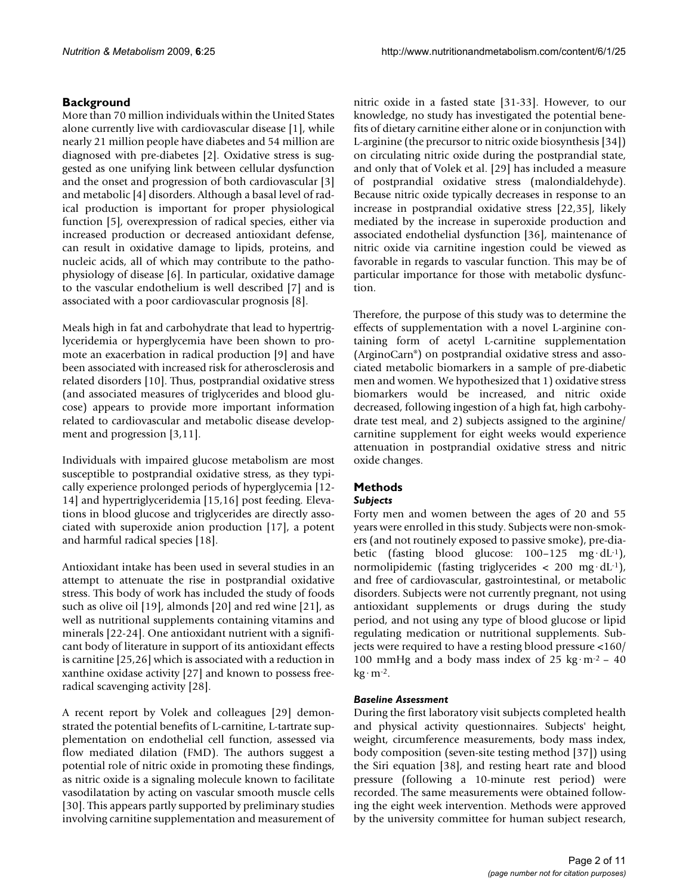## **Background**

More than 70 million individuals within the United States alone currently live with cardiovascular disease [1], while nearly 21 million people have diabetes and 54 million are diagnosed with pre-diabetes [2]. Oxidative stress is suggested as one unifying link between cellular dysfunction and the onset and progression of both cardiovascular [3] and metabolic [4] disorders. Although a basal level of radical production is important for proper physiological function [5], overexpression of radical species, either via increased production or decreased antioxidant defense, can result in oxidative damage to lipids, proteins, and nucleic acids, all of which may contribute to the pathophysiology of disease [6]. In particular, oxidative damage to the vascular endothelium is well described [7] and is associated with a poor cardiovascular prognosis [8].

Meals high in fat and carbohydrate that lead to hypertriglyceridemia or hyperglycemia have been shown to promote an exacerbation in radical production [9] and have been associated with increased risk for atherosclerosis and related disorders [10]. Thus, postprandial oxidative stress (and associated measures of triglycerides and blood glucose) appears to provide more important information related to cardiovascular and metabolic disease development and progression [3,11].

Individuals with impaired glucose metabolism are most susceptible to postprandial oxidative stress, as they typically experience prolonged periods of hyperglycemia [12- 14] and hypertriglyceridemia [15,16] post feeding. Elevations in blood glucose and triglycerides are directly associated with superoxide anion production [17], a potent and harmful radical species [18].

Antioxidant intake has been used in several studies in an attempt to attenuate the rise in postprandial oxidative stress. This body of work has included the study of foods such as olive oil [19], almonds [20] and red wine [21], as well as nutritional supplements containing vitamins and minerals [22-24]. One antioxidant nutrient with a significant body of literature in support of its antioxidant effects is carnitine [25,26] which is associated with a reduction in xanthine oxidase activity [27] and known to possess freeradical scavenging activity [28].

A recent report by Volek and colleagues [29] demonstrated the potential benefits of L-carnitine, L-tartrate supplementation on endothelial cell function, assessed via flow mediated dilation (FMD). The authors suggest a potential role of nitric oxide in promoting these findings, as nitric oxide is a signaling molecule known to facilitate vasodilatation by acting on vascular smooth muscle cells [30]. This appears partly supported by preliminary studies involving carnitine supplementation and measurement of nitric oxide in a fasted state [31-33]. However, to our knowledge, no study has investigated the potential benefits of dietary carnitine either alone or in conjunction with L-arginine (the precursor to nitric oxide biosynthesis [34]) on circulating nitric oxide during the postprandial state, and only that of Volek et al. [29] has included a measure of postprandial oxidative stress (malondialdehyde). Because nitric oxide typically decreases in response to an increase in postprandial oxidative stress [22,35], likely mediated by the increase in superoxide production and associated endothelial dysfunction [36], maintenance of nitric oxide via carnitine ingestion could be viewed as favorable in regards to vascular function. This may be of particular importance for those with metabolic dysfunction.

Therefore, the purpose of this study was to determine the effects of supplementation with a novel L-arginine containing form of acetyl L-carnitine supplementation (ArginoCarn®) on postprandial oxidative stress and associated metabolic biomarkers in a sample of pre-diabetic men and women. We hypothesized that 1) oxidative stress biomarkers would be increased, and nitric oxide decreased, following ingestion of a high fat, high carbohydrate test meal, and 2) subjects assigned to the arginine/ carnitine supplement for eight weeks would experience attenuation in postprandial oxidative stress and nitric oxide changes.

## **Methods**

## *Subjects*

Forty men and women between the ages of 20 and 55 years were enrolled in this study. Subjects were non-smokers (and not routinely exposed to passive smoke), pre-diabetic (fasting blood glucose: 100-125 mg·dL<sup>-1</sup>), normolipidemic (fasting triglycerides  $<$  200 mg·dL<sup>-1</sup>), and free of cardiovascular, gastrointestinal, or metabolic disorders. Subjects were not currently pregnant, not using antioxidant supplements or drugs during the study period, and not using any type of blood glucose or lipid regulating medication or nutritional supplements. Subjects were required to have a resting blood pressure <160/ 100 mmHg and a body mass index of 25 kg·m<sup>-2</sup> - 40  $kg·m-2$ .

## *Baseline Assessment*

During the first laboratory visit subjects completed health and physical activity questionnaires. Subjects' height, weight, circumference measurements, body mass index, body composition (seven-site testing method [37]) using the Siri equation [38], and resting heart rate and blood pressure (following a 10-minute rest period) were recorded. The same measurements were obtained following the eight week intervention. Methods were approved by the university committee for human subject research,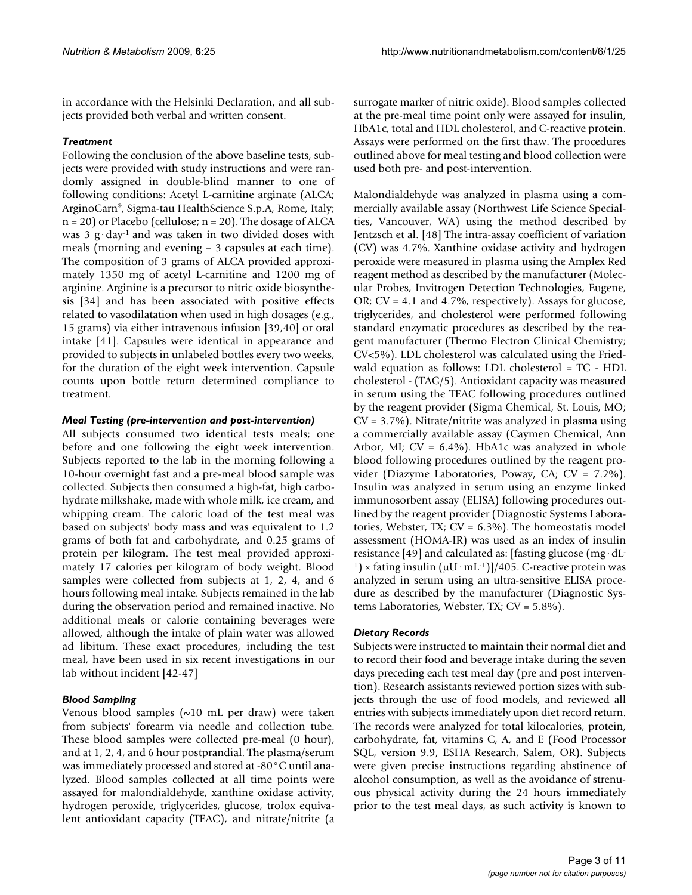in accordance with the Helsinki Declaration, and all subjects provided both verbal and written consent.

## *Treatment*

Following the conclusion of the above baseline tests, subjects were provided with study instructions and were randomly assigned in double-blind manner to one of following conditions: Acetyl L-carnitine arginate (ALCA; ArginoCarn®, Sigma-tau HealthScience S.p.A, Rome, Italy;  $n = 20$ ) or Placebo (cellulose;  $n = 20$ ). The dosage of ALCA was 3  $g \cdot \text{day}^{-1}$  and was taken in two divided doses with meals (morning and evening – 3 capsules at each time). The composition of 3 grams of ALCA provided approximately 1350 mg of acetyl L-carnitine and 1200 mg of arginine. Arginine is a precursor to nitric oxide biosynthesis [34] and has been associated with positive effects related to vasodilatation when used in high dosages (e.g., 15 grams) via either intravenous infusion [39,40] or oral intake [41]. Capsules were identical in appearance and provided to subjects in unlabeled bottles every two weeks, for the duration of the eight week intervention. Capsule counts upon bottle return determined compliance to treatment.

## *Meal Testing (pre-intervention and post-intervention)*

All subjects consumed two identical tests meals; one before and one following the eight week intervention. Subjects reported to the lab in the morning following a 10-hour overnight fast and a pre-meal blood sample was collected. Subjects then consumed a high-fat, high carbohydrate milkshake, made with whole milk, ice cream, and whipping cream. The caloric load of the test meal was based on subjects' body mass and was equivalent to 1.2 grams of both fat and carbohydrate, and 0.25 grams of protein per kilogram. The test meal provided approximately 17 calories per kilogram of body weight. Blood samples were collected from subjects at 1, 2, 4, and 6 hours following meal intake. Subjects remained in the lab during the observation period and remained inactive. No additional meals or calorie containing beverages were allowed, although the intake of plain water was allowed ad libitum. These exact procedures, including the test meal, have been used in six recent investigations in our lab without incident [42-47]

## *Blood Sampling*

Venous blood samples (~10 mL per draw) were taken from subjects' forearm via needle and collection tube. These blood samples were collected pre-meal (0 hour), and at 1, 2, 4, and 6 hour postprandial. The plasma/serum was immediately processed and stored at -80°C until analyzed. Blood samples collected at all time points were assayed for malondialdehyde, xanthine oxidase activity, hydrogen peroxide, triglycerides, glucose, trolox equivalent antioxidant capacity (TEAC), and nitrate/nitrite (a

surrogate marker of nitric oxide). Blood samples collected at the pre-meal time point only were assayed for insulin, HbA1c, total and HDL cholesterol, and C-reactive protein. Assays were performed on the first thaw. The procedures outlined above for meal testing and blood collection were used both pre- and post-intervention.

Malondialdehyde was analyzed in plasma using a commercially available assay (Northwest Life Science Specialties, Vancouver, WA) using the method described by Jentzsch et al. [48] The intra-assay coefficient of variation (CV) was 4.7%. Xanthine oxidase activity and hydrogen peroxide were measured in plasma using the Amplex Red reagent method as described by the manufacturer (Molecular Probes, Invitrogen Detection Technologies, Eugene, OR; CV = 4.1 and 4.7%, respectively). Assays for glucose, triglycerides, and cholesterol were performed following standard enzymatic procedures as described by the reagent manufacturer (Thermo Electron Clinical Chemistry; CV<5%). LDL cholesterol was calculated using the Friedwald equation as follows: LDL cholesterol = TC - HDL cholesterol - (TAG/5). Antioxidant capacity was measured in serum using the TEAC following procedures outlined by the reagent provider (Sigma Chemical, St. Louis, MO; CV = 3.7%). Nitrate/nitrite was analyzed in plasma using a commercially available assay (Caymen Chemical, Ann Arbor, MI;  $CV = 6.4\%$ ). HbA1c was analyzed in whole blood following procedures outlined by the reagent provider (Diazyme Laboratories, Poway, CA; CV = 7.2%). Insulin was analyzed in serum using an enzyme linked immunosorbent assay (ELISA) following procedures outlined by the reagent provider (Diagnostic Systems Laboratories, Webster, TX; CV = 6.3%). The homeostatis model assessment (HOMA-IR) was used as an index of insulin resistance [49] and calculated as: [fasting glucose (mg·dL-<sup>1</sup>) × fating insulin ( $\mu$ U·mL<sup>-1</sup>)]/405. C-reactive protein was analyzed in serum using an ultra-sensitive ELISA procedure as described by the manufacturer (Diagnostic Systems Laboratories, Webster, TX; CV = 5.8%).

## *Dietary Records*

Subjects were instructed to maintain their normal diet and to record their food and beverage intake during the seven days preceding each test meal day (pre and post intervention). Research assistants reviewed portion sizes with subjects through the use of food models, and reviewed all entries with subjects immediately upon diet record return. The records were analyzed for total kilocalories, protein, carbohydrate, fat, vitamins C, A, and E (Food Processor SQL, version 9.9, ESHA Research, Salem, OR). Subjects were given precise instructions regarding abstinence of alcohol consumption, as well as the avoidance of strenuous physical activity during the 24 hours immediately prior to the test meal days, as such activity is known to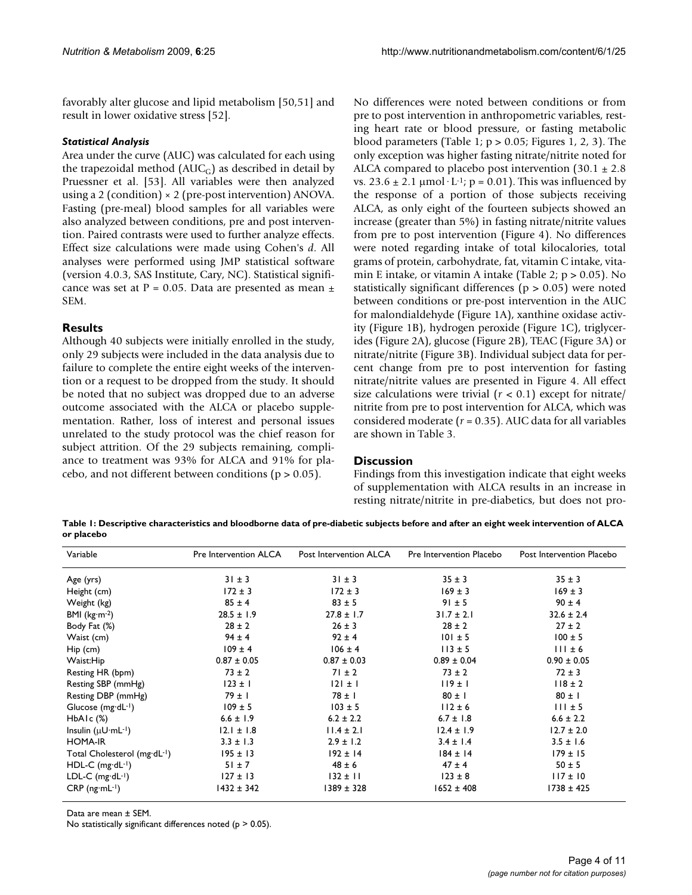favorably alter glucose and lipid metabolism [50,51] and result in lower oxidative stress [52].

### *Statistical Analysis*

Area under the curve (AUC) was calculated for each using the trapezoidal method  $(AUC_G)$  as described in detail by Pruessner et al. [53]. All variables were then analyzed using a 2 (condition)  $\times$  2 (pre-post intervention) ANOVA. Fasting (pre-meal) blood samples for all variables were also analyzed between conditions, pre and post intervention. Paired contrasts were used to further analyze effects. Effect size calculations were made using Cohen's *d*. All analyses were performed using JMP statistical software (version 4.0.3, SAS Institute, Cary, NC). Statistical significance was set at P = 0.05. Data are presented as mean  $\pm$ SEM.

## **Results**

Although 40 subjects were initially enrolled in the study, only 29 subjects were included in the data analysis due to failure to complete the entire eight weeks of the intervention or a request to be dropped from the study. It should be noted that no subject was dropped due to an adverse outcome associated with the ALCA or placebo supplementation. Rather, loss of interest and personal issues unrelated to the study protocol was the chief reason for subject attrition. Of the 29 subjects remaining, compliance to treatment was 93% for ALCA and 91% for placebo, and not different between conditions ( $p > 0.05$ ).

No differences were noted between conditions or from pre to post intervention in anthropometric variables, resting heart rate or blood pressure, or fasting metabolic blood parameters (Table 1;  $p > 0.05$ ; Figures 1, 2, 3). The only exception was higher fasting nitrate/nitrite noted for ALCA compared to placebo post intervention  $(30.1 \pm 2.8)$ vs.  $23.6 \pm 2.1 \mu$ mol·L<sup>-1</sup>; p = 0.01). This was influenced by the response of a portion of those subjects receiving ALCA, as only eight of the fourteen subjects showed an increase (greater than 5%) in fasting nitrate/nitrite values from pre to post intervention (Figure 4). No differences were noted regarding intake of total kilocalories, total grams of protein, carbohydrate, fat, vitamin C intake, vitamin E intake, or vitamin A intake (Table 2;  $p > 0.05$ ). No statistically significant differences (p > 0.05) were noted between conditions or pre-post intervention in the AUC for malondialdehyde (Figure 1A), xanthine oxidase activity (Figure 1B), hydrogen peroxide (Figure 1C), triglycerides (Figure 2A), glucose (Figure 2B), TEAC (Figure 3A) or nitrate/nitrite (Figure 3B). Individual subject data for percent change from pre to post intervention for fasting nitrate/nitrite values are presented in Figure 4. All effect size calculations were trivial  $(r < 0.1)$  except for nitrate/ nitrite from pre to post intervention for ALCA, which was considered moderate (*r* = 0.35). AUC data for all variables are shown in Table 3.

## **Discussion**

Findings from this investigation indicate that eight weeks of supplementation with ALCA results in an increase in resting nitrate/nitrite in pre-diabetics, but does not pro-

**Table 1: Descriptive characteristics and bloodborne data of pre-diabetic subjects before and after an eight week intervention of ALCA or placebo**

| Variable                        | Pre Intervention ALCA | Post Intervention ALCA | Pre Intervention Placebo | Post Intervention Placebo |
|---------------------------------|-----------------------|------------------------|--------------------------|---------------------------|
| Age (yrs)                       | $31 \pm 3$            | $31 \pm 3$             | $35 \pm 3$               | $35 \pm 3$                |
| Height (cm)                     | $172 \pm 3$           | $172 \pm 3$            | $169 \pm 3$              | $169 \pm 3$               |
| Weight (kg)                     | $85 \pm 4$            | $83 \pm 5$             | $91 \pm 5$               | $90 \pm 4$                |
| BMI ( $kg·m-2$ )                | $28.5 \pm 1.9$        | $27.8 \pm 1.7$         | $31.7 \pm 2.1$           | $32.6 \pm 2.4$            |
| Body Fat (%)                    | $28 \pm 2$            | $26 \pm 3$             | $28 \pm 2$               | $27 \pm 2$                |
| Waist (cm)                      | $94 \pm 4$            | $92 \pm 4$             | $101 \pm 5$              | $100 \pm 5$               |
| $Hip$ (cm)                      | $109 \pm 4$           | $106 \pm 4$            | $113 \pm 5$              | $111 \pm 6$               |
| Waist:Hip                       | $0.87 \pm 0.05$       | $0.87 \pm 0.03$        | $0.89 \pm 0.04$          | $0.90 \pm 0.05$           |
| Resting HR (bpm)                | $73 \pm 2$            | $71 \pm 2$             | $73 \pm 2$               | $72 \pm 3$                |
| Resting SBP (mmHg)              | $123 \pm 1$           | $ 2  \pm  $            | 119±1                    | $118 \pm 2$               |
| Resting DBP (mmHg)              | $79 \pm 1$            | $78 \pm 1$             | $80 \pm 1$               | $80 \pm 1$                |
| Glucose $(mg \cdot dL^{-1})$    | $109 \pm 5$           | $103 \pm 5$            | $112 \pm 6$              | $111 \pm 5$               |
| $HbA1c$ $(\%)$                  | $6.6 \pm 1.9$         | $6.2 \pm 2.2$          | $6.7 \pm 1.8$            | $6.6 \pm 2.2$             |
| Insulin $(\mu U \cdot mL^{-1})$ | $12.1 \pm 1.8$        | $11.4 \pm 2.1$         | $12.4 \pm 1.9$           | $12.7 \pm 2.0$            |
| <b>HOMA-IR</b>                  | $3.3 \pm 1.3$         | $2.9 \pm 1.2$          | $3.4 \pm 1.4$            | $3.5 \pm 1.6$             |
| Total Cholesterol (mg·dL-1)     | $195 \pm 13$          | $192 \pm 14$           | $184 \pm 14$             | $179 \pm 15$              |
| $HDL-C$ (mg·dL-1)               | $51 \pm 7$            | $48 \pm 6$             | $47 \pm 4$               | $50 \pm 5$                |
| LDL-C $(mg \cdot dL^{-1})$      | $127 \pm 13$          | $132 \pm 11$           | $123 \pm 8$              | $117 \pm 10$              |
| $CRP$ (ng $mL^{-1}$ )           | $1432 \pm 342$        | 1389 ± 328             | $1652 \pm 408$           | $1738 \pm 425$            |

Data are mean ± SEM.

No statistically significant differences noted ( $p > 0.05$ ).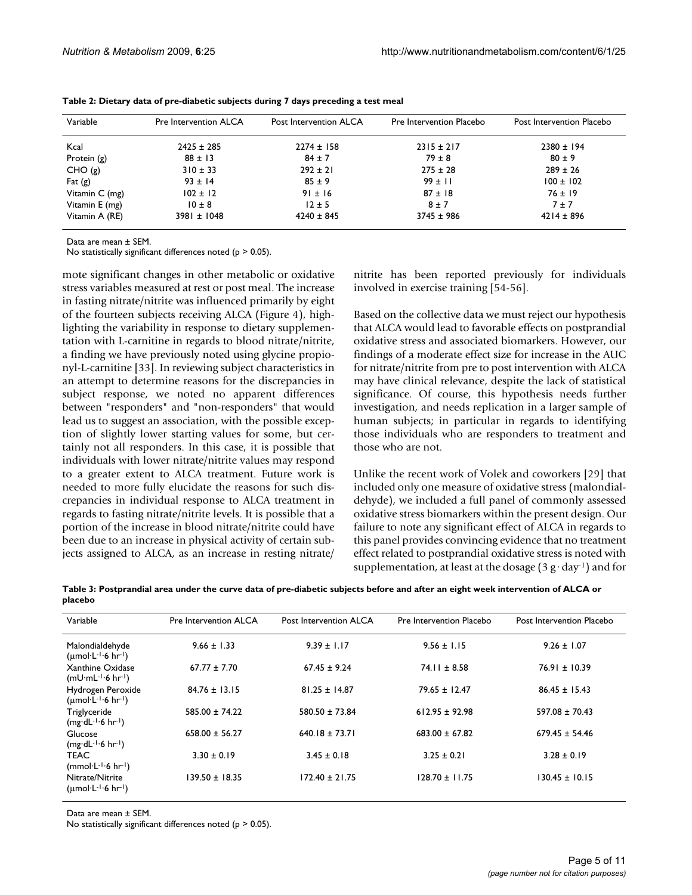| Variable       | <b>Pre Intervention ALCA</b> | Post Intervention ALCA | Pre Intervention Placebo | Post Intervention Placebo |
|----------------|------------------------------|------------------------|--------------------------|---------------------------|
| Kcal           | $2425 \pm 285$               | $2274 \pm 158$         | $2315 \pm 217$           | $2380 \pm 194$            |
| Protein (g)    | $88 \pm 13$                  | $84 \pm 7$             | $79 \pm 8$               | $80 \pm 9$                |
| CHO(g)         | $310 \pm 33$                 | $292 \pm 21$           | $275 \pm 28$             | $289 \pm 26$              |
| Fat $(g)$      | $93 \pm 14$                  | $85 \pm 9$             | $99 \pm 11$              | $100 \pm 102$             |
| Vitamin C (mg) | $102 \pm 12$                 | $91 \pm 16$            | $87 \pm 18$              | $76 \pm 19$               |
| Vitamin E (mg) | $10 \pm 8$                   | $12 \pm 5$             | $8 \pm 7$                | 7±7                       |
| Vitamin A (RE) | 3981 ± 1048                  | $4240 \pm 845$         | $3745 \pm 986$           | $4214 \pm 896$            |

**Table 2: Dietary data of pre-diabetic subjects during 7 days preceding a test meal**

Data are mean ± SEM.

No statistically significant differences noted ( $p > 0.05$ ).

mote significant changes in other metabolic or oxidative stress variables measured at rest or post meal. The increase in fasting nitrate/nitrite was influenced primarily by eight of the fourteen subjects receiving ALCA (Figure 4), highlighting the variability in response to dietary supplementation with L-carnitine in regards to blood nitrate/nitrite, a finding we have previously noted using glycine propionyl-L-carnitine [33]. In reviewing subject characteristics in an attempt to determine reasons for the discrepancies in subject response, we noted no apparent differences between "responders" and "non-responders" that would lead us to suggest an association, with the possible exception of slightly lower starting values for some, but certainly not all responders. In this case, it is possible that individuals with lower nitrate/nitrite values may respond to a greater extent to ALCA treatment. Future work is needed to more fully elucidate the reasons for such discrepancies in individual response to ALCA treatment in regards to fasting nitrate/nitrite levels. It is possible that a portion of the increase in blood nitrate/nitrite could have been due to an increase in physical activity of certain subjects assigned to ALCA, as an increase in resting nitrate/

nitrite has been reported previously for individuals involved in exercise training [54-56].

Based on the collective data we must reject our hypothesis that ALCA would lead to favorable effects on postprandial oxidative stress and associated biomarkers. However, our findings of a moderate effect size for increase in the AUC for nitrate/nitrite from pre to post intervention with ALCA may have clinical relevance, despite the lack of statistical significance. Of course, this hypothesis needs further investigation, and needs replication in a larger sample of human subjects; in particular in regards to identifying those individuals who are responders to treatment and those who are not.

Unlike the recent work of Volek and coworkers [29] that included only one measure of oxidative stress (malondialdehyde), we included a full panel of commonly assessed oxidative stress biomarkers within the present design. Our failure to note any significant effect of ALCA in regards to this panel provides convincing evidence that no treatment effect related to postprandial oxidative stress is noted with supplementation, at least at the dosage  $(3 g \cdot day^{-1})$  and for

**Table 3: Postprandial area under the curve data of pre-diabetic subjects before and after an eight week intervention of ALCA or placebo**

| Variable                                                        | <b>Pre Intervention ALCA</b> | Post Intervention ALCA | Pre Intervention Placebo | Post Intervention Placebo |
|-----------------------------------------------------------------|------------------------------|------------------------|--------------------------|---------------------------|
| Malondialdehyde<br>$(\mu \text{mol·}L^{-1.6} \text{hr}^{-1})$   | $9.66 \pm 1.33$              | $9.39 \pm 1.17$        | $9.56 \pm 1.15$          | $9.26 \pm 1.07$           |
| Xanthine Oxidase<br>$(mU·mL-1·6 hr-1)$                          | $67.77 \pm 7.70$             | $67.45 \pm 9.24$       | $74.11 \pm 8.58$         | 76.91 ± 10.39             |
| Hydrogen Peroxide<br>$(\mu \text{mol·}L^{-1.6} \text{hr}^{-1})$ | $84.76 \pm 13.15$            | $81.25 \pm 14.87$      | $79.65 \pm 12.47$        | $86.45 \pm 15.43$         |
| Triglyceride<br>$(mg\cdot dL^{-1}\cdot 6 \ hr^{-1})$            | $585.00 \pm 74.22$           | $580.50 \pm 73.84$     | $612.95 \pm 92.98$       | $597.08 \pm 70.43$        |
| Glucose<br>$(mg\cdot dL^{-1}\cdot 6 \ hr^{-1})$                 | $658.00 \pm 56.27$           | $640.18 \pm 73.71$     | $683.00 \pm 67.82$       | $679.45 \pm 54.46$        |
| <b>TEAC</b><br>$(mmol·L-1·6 hr-1)$                              | $3.30 \pm 0.19$              | $3.45 \pm 0.18$        | $3.25 \pm 0.21$          | $3.28 \pm 0.19$           |
| Nitrate/Nitrite<br>$(numol·L-1·6 hr-1)$                         | $139.50 \pm 18.35$           | $172.40 \pm 21.75$     | $128.70 \pm 11.75$       | $130.45 \pm 10.15$        |

Data are mean ± SEM.

No statistically significant differences noted ( $p > 0.05$ ).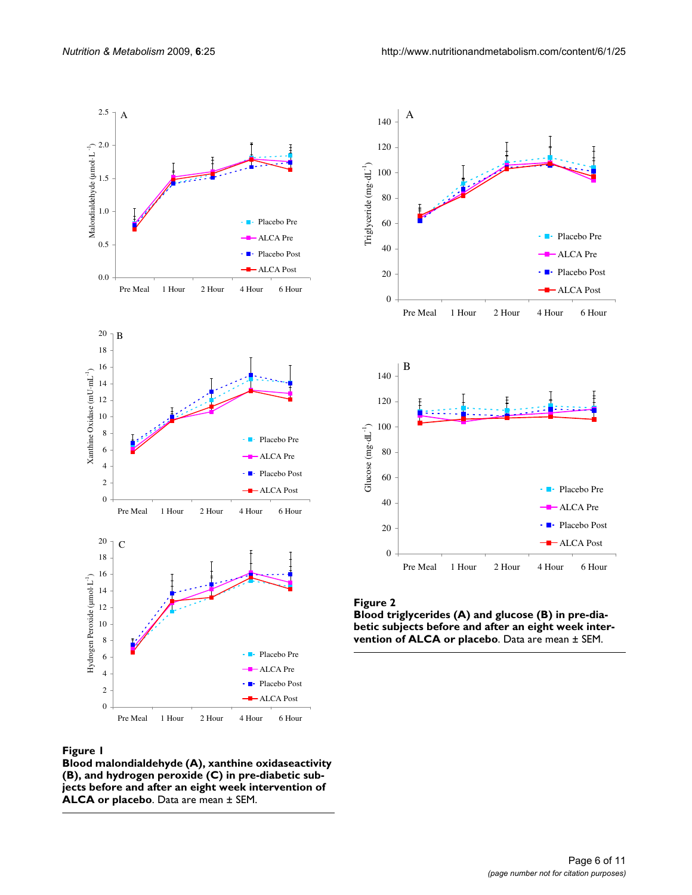

#### **Figure 1**

**Blood malondialdehyde (A), xanthine oxidaseactivity (B), and hydrogen peroxide (C) in pre-diabetic subjects before and after an eight week intervention of ALCA or placebo**. Data are mean ± SEM.



## Figure 2

**Blood triglycerides (A) and glucose (B) in pre-diabetic subjects before and after an eight week intervention of ALCA or placebo**. Data are mean ± SEM.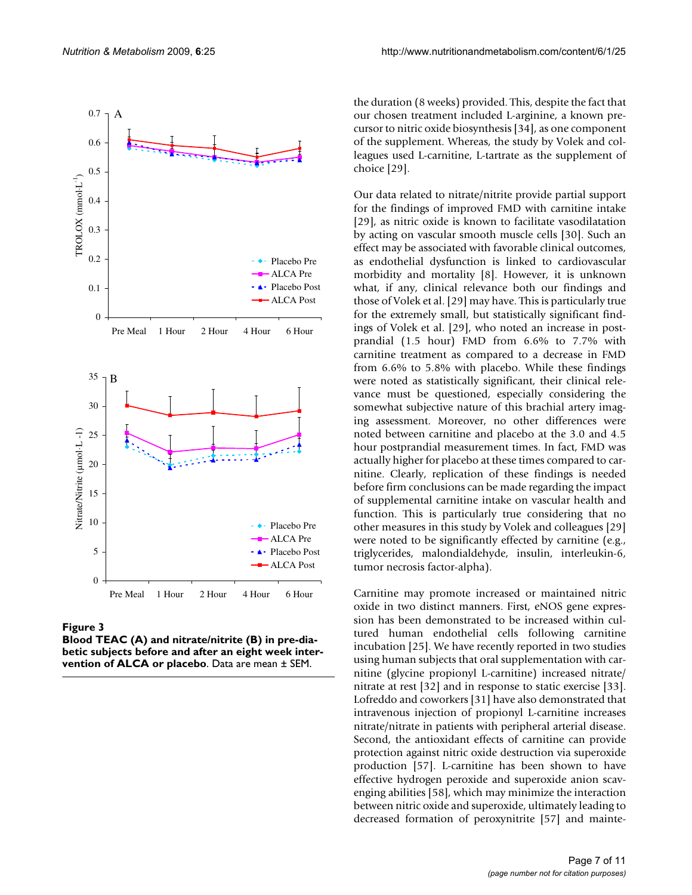

Figure 3

**Blood TEAC (A) and nitrate/nitrite (B) in pre-diabetic subjects before and after an eight week intervention of ALCA or placebo**. Data are mean ± SEM.

the duration (8 weeks) provided. This, despite the fact that our chosen treatment included L-arginine, a known precursor to nitric oxide biosynthesis [34], as one component of the supplement. Whereas, the study by Volek and colleagues used L-carnitine, L-tartrate as the supplement of choice [29].

Our data related to nitrate/nitrite provide partial support for the findings of improved FMD with carnitine intake [29], as nitric oxide is known to facilitate vasodilatation by acting on vascular smooth muscle cells [30]. Such an effect may be associated with favorable clinical outcomes, as endothelial dysfunction is linked to cardiovascular morbidity and mortality [8]. However, it is unknown what, if any, clinical relevance both our findings and those of Volek et al. [29] may have. This is particularly true for the extremely small, but statistically significant findings of Volek et al. [29], who noted an increase in postprandial (1.5 hour) FMD from 6.6% to 7.7% with carnitine treatment as compared to a decrease in FMD from 6.6% to 5.8% with placebo. While these findings were noted as statistically significant, their clinical relevance must be questioned, especially considering the somewhat subjective nature of this brachial artery imaging assessment. Moreover, no other differences were noted between carnitine and placebo at the 3.0 and 4.5 hour postprandial measurement times. In fact, FMD was actually higher for placebo at these times compared to carnitine. Clearly, replication of these findings is needed before firm conclusions can be made regarding the impact of supplemental carnitine intake on vascular health and function. This is particularly true considering that no other measures in this study by Volek and colleagues [29] were noted to be significantly effected by carnitine (e.g., triglycerides, malondialdehyde, insulin, interleukin-6, tumor necrosis factor-alpha).

Carnitine may promote increased or maintained nitric oxide in two distinct manners. First, eNOS gene expression has been demonstrated to be increased within cultured human endothelial cells following carnitine incubation [25]. We have recently reported in two studies using human subjects that oral supplementation with carnitine (glycine propionyl L-carnitine) increased nitrate/ nitrate at rest [32] and in response to static exercise [33]. Lofreddo and coworkers [31] have also demonstrated that intravenous injection of propionyl L-carnitine increases nitrate/nitrate in patients with peripheral arterial disease. Second, the antioxidant effects of carnitine can provide protection against nitric oxide destruction via superoxide production [57]. L-carnitine has been shown to have effective hydrogen peroxide and superoxide anion scavenging abilities [58], which may minimize the interaction between nitric oxide and superoxide, ultimately leading to decreased formation of peroxynitrite [57] and mainte-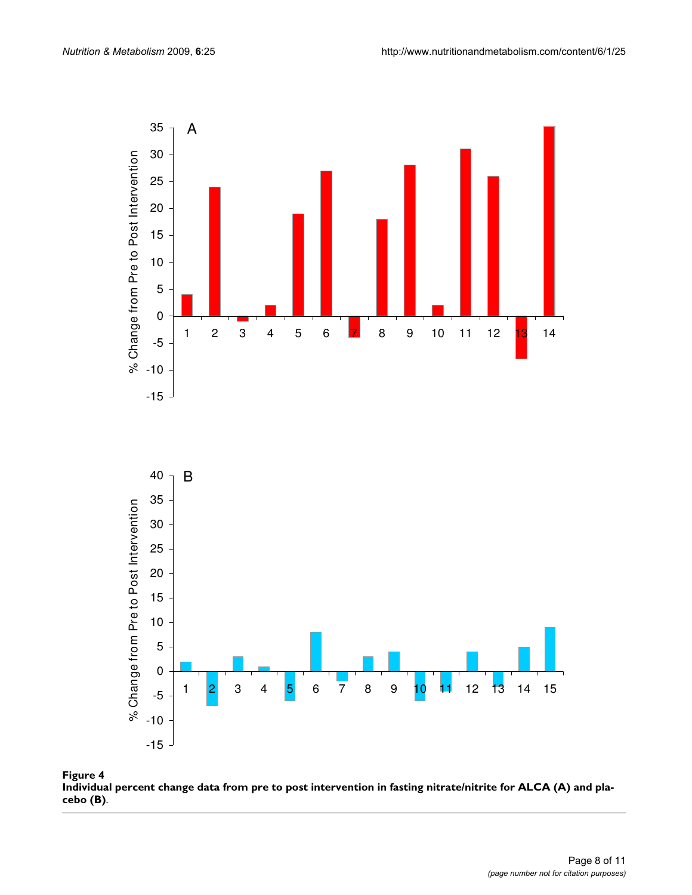

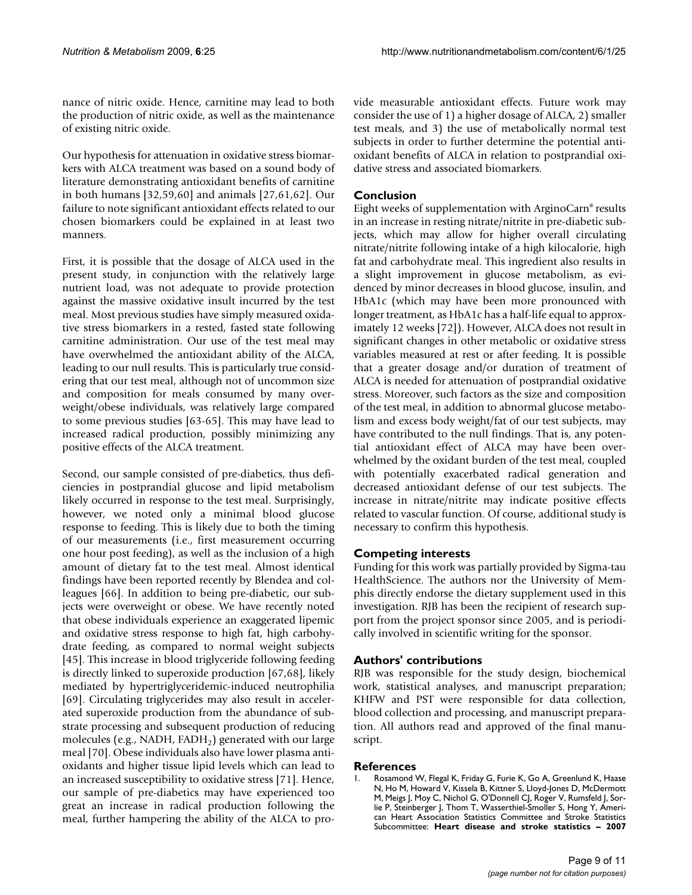nance of nitric oxide. Hence, carnitine may lead to both the production of nitric oxide, as well as the maintenance of existing nitric oxide.

Our hypothesis for attenuation in oxidative stress biomarkers with ALCA treatment was based on a sound body of literature demonstrating antioxidant benefits of carnitine in both humans [32,59,60] and animals [27,61,62]. Our failure to note significant antioxidant effects related to our chosen biomarkers could be explained in at least two manners.

First, it is possible that the dosage of ALCA used in the present study, in conjunction with the relatively large nutrient load, was not adequate to provide protection against the massive oxidative insult incurred by the test meal. Most previous studies have simply measured oxidative stress biomarkers in a rested, fasted state following carnitine administration. Our use of the test meal may have overwhelmed the antioxidant ability of the ALCA, leading to our null results. This is particularly true considering that our test meal, although not of uncommon size and composition for meals consumed by many overweight/obese individuals, was relatively large compared to some previous studies [63-65]. This may have lead to increased radical production, possibly minimizing any positive effects of the ALCA treatment.

Second, our sample consisted of pre-diabetics, thus deficiencies in postprandial glucose and lipid metabolism likely occurred in response to the test meal. Surprisingly, however, we noted only a minimal blood glucose response to feeding. This is likely due to both the timing of our measurements (i.e., first measurement occurring one hour post feeding), as well as the inclusion of a high amount of dietary fat to the test meal. Almost identical findings have been reported recently by Blendea and colleagues [66]. In addition to being pre-diabetic, our subjects were overweight or obese. We have recently noted that obese individuals experience an exaggerated lipemic and oxidative stress response to high fat, high carbohydrate feeding, as compared to normal weight subjects [45]. This increase in blood triglyceride following feeding is directly linked to superoxide production [67,68], likely mediated by hypertriglyceridemic-induced neutrophilia [69]. Circulating triglycerides may also result in accelerated superoxide production from the abundance of substrate processing and subsequent production of reducing molecules (e.g., NADH,  $FADH<sub>2</sub>$ ) generated with our large meal [70]. Obese individuals also have lower plasma antioxidants and higher tissue lipid levels which can lead to an increased susceptibility to oxidative stress [71]. Hence, our sample of pre-diabetics may have experienced too great an increase in radical production following the meal, further hampering the ability of the ALCA to provide measurable antioxidant effects. Future work may consider the use of 1) a higher dosage of ALCA, 2) smaller test meals, and 3) the use of metabolically normal test subjects in order to further determine the potential antioxidant benefits of ALCA in relation to postprandial oxidative stress and associated biomarkers.

## **Conclusion**

Eight weeks of supplementation with ArginoCarn® results in an increase in resting nitrate/nitrite in pre-diabetic subjects, which may allow for higher overall circulating nitrate/nitrite following intake of a high kilocalorie, high fat and carbohydrate meal. This ingredient also results in a slight improvement in glucose metabolism, as evidenced by minor decreases in blood glucose, insulin, and HbA1c (which may have been more pronounced with longer treatment, as HbA1c has a half-life equal to approximately 12 weeks [72]). However, ALCA does not result in significant changes in other metabolic or oxidative stress variables measured at rest or after feeding. It is possible that a greater dosage and/or duration of treatment of ALCA is needed for attenuation of postprandial oxidative stress. Moreover, such factors as the size and composition of the test meal, in addition to abnormal glucose metabolism and excess body weight/fat of our test subjects, may have contributed to the null findings. That is, any potential antioxidant effect of ALCA may have been overwhelmed by the oxidant burden of the test meal, coupled with potentially exacerbated radical generation and decreased antioxidant defense of our test subjects. The increase in nitrate/nitrite may indicate positive effects related to vascular function. Of course, additional study is necessary to confirm this hypothesis.

## **Competing interests**

Funding for this work was partially provided by Sigma-tau HealthScience. The authors nor the University of Memphis directly endorse the dietary supplement used in this investigation. RJB has been the recipient of research support from the project sponsor since 2005, and is periodically involved in scientific writing for the sponsor.

## **Authors' contributions**

RJB was responsible for the study design, biochemical work, statistical analyses, and manuscript preparation; KHFW and PST were responsible for data collection, blood collection and processing, and manuscript preparation. All authors read and approved of the final manuscript.

#### **References**

Rosamond W, Flegal K, Friday G, Furie K, Go A, Greenlund K, Haase N, Ho M, Howard V, Kissela B, Kittner S, Lloyd-Jones D, McDermott M, Meigs J, Moy C, Nichol G, O'Donnell CJ, Roger V, Rumsfeld J, Sorlie P, Steinberger J, Thom T, Wasserthiel-Smoller S, Hong Y, American Heart Association Statistics Committee and Stroke Statistics Subcommittee: **[Heart disease and stroke statistics – 2007](http://www.ncbi.nlm.nih.gov/entrez/query.fcgi?cmd=Retrieve&db=PubMed&dopt=Abstract&list_uids=17194875)**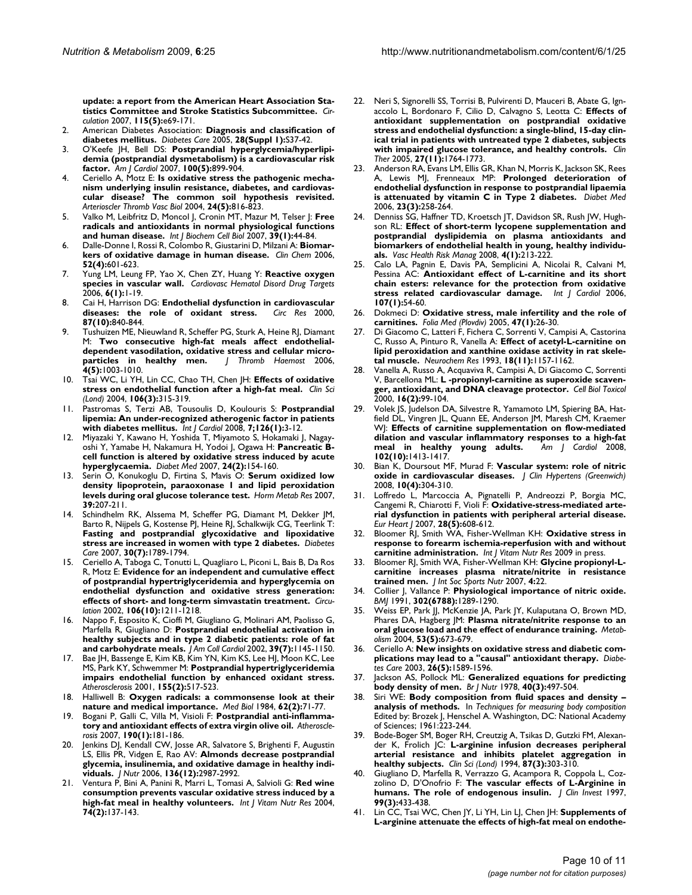**[update: a report from the American Heart Association Sta](http://www.ncbi.nlm.nih.gov/entrez/query.fcgi?cmd=Retrieve&db=PubMed&dopt=Abstract&list_uids=17194875)[tistics Committee and Stroke Statistics Subcommittee.](http://www.ncbi.nlm.nih.gov/entrez/query.fcgi?cmd=Retrieve&db=PubMed&dopt=Abstract&list_uids=17194875)** *Circulation* 2007, **115(5):**e69-171.

- 2. American Diabetes Association: **[Diagnosis and classification of](http://www.ncbi.nlm.nih.gov/entrez/query.fcgi?cmd=Retrieve&db=PubMed&dopt=Abstract&list_uids=15618111) [diabetes mellitus.](http://www.ncbi.nlm.nih.gov/entrez/query.fcgi?cmd=Retrieve&db=PubMed&dopt=Abstract&list_uids=15618111)** *Diabetes Care* 2005, **28(Suppl 1):**S37-42.
- 3. O'Keefe JH, Bell DS: **[Postprandial hyperglycemia/hyperlipi](http://www.ncbi.nlm.nih.gov/entrez/query.fcgi?cmd=Retrieve&db=PubMed&dopt=Abstract&list_uids=17719342)[demia \(postprandial dysmetabolism\) is a cardiovascular risk](http://www.ncbi.nlm.nih.gov/entrez/query.fcgi?cmd=Retrieve&db=PubMed&dopt=Abstract&list_uids=17719342) [factor.](http://www.ncbi.nlm.nih.gov/entrez/query.fcgi?cmd=Retrieve&db=PubMed&dopt=Abstract&list_uids=17719342)** *Am J Cardiol* 2007, **100(5):**899-904.
- 4. Ceriello A, Motz E: **[Is oxidative stress the pathogenic mecha](http://www.ncbi.nlm.nih.gov/entrez/query.fcgi?cmd=Retrieve&db=PubMed&dopt=Abstract&list_uids=14976002)[nism underlying insulin resistance, diabetes, and cardiovas](http://www.ncbi.nlm.nih.gov/entrez/query.fcgi?cmd=Retrieve&db=PubMed&dopt=Abstract&list_uids=14976002)cular disease? The common soil hypothesis revisited.** *Arterioscler Thromb Vasc Biol* 2004, **24(5):**816-823.
- 5. Valko M, Leibfritz D, Moncol J, Cronin MT, Mazur M, Telser J: **[Free](http://www.ncbi.nlm.nih.gov/entrez/query.fcgi?cmd=Retrieve&db=PubMed&dopt=Abstract&list_uids=16978905) [radicals and antioxidants in normal physiological functions](http://www.ncbi.nlm.nih.gov/entrez/query.fcgi?cmd=Retrieve&db=PubMed&dopt=Abstract&list_uids=16978905) [and human disease.](http://www.ncbi.nlm.nih.gov/entrez/query.fcgi?cmd=Retrieve&db=PubMed&dopt=Abstract&list_uids=16978905)** *Int J Biochem Cell Biol* 2007, **39(1):**44-84.
- 6. Dalle-Donne I, Rossi R, Colombo R, Giustarini D, Milzani A: **[Biomar](http://www.ncbi.nlm.nih.gov/entrez/query.fcgi?cmd=Retrieve&db=PubMed&dopt=Abstract&list_uids=16484333)[kers of oxidative damage in human disease.](http://www.ncbi.nlm.nih.gov/entrez/query.fcgi?cmd=Retrieve&db=PubMed&dopt=Abstract&list_uids=16484333)** *Clin Chem* 2006, **52(4):**601-623.
- 7. Yung LM, Leung FP, Yao X, Chen ZY, Huang Y: **[Reactive oxygen](http://www.ncbi.nlm.nih.gov/entrez/query.fcgi?cmd=Retrieve&db=PubMed&dopt=Abstract&list_uids=16724932) [species in vascular wall.](http://www.ncbi.nlm.nih.gov/entrez/query.fcgi?cmd=Retrieve&db=PubMed&dopt=Abstract&list_uids=16724932)** *Cardiovasc Hematol Disord Drug Targets* 2006, **6(1):**1-19.
- 8. Cai H, Harrison DG: **[Endothelial dysfunction in cardiovascular](http://www.ncbi.nlm.nih.gov/entrez/query.fcgi?cmd=Retrieve&db=PubMed&dopt=Abstract&list_uids=11073878)** [diseases: the role of oxidant stress.](http://www.ncbi.nlm.nih.gov/entrez/query.fcgi?cmd=Retrieve&db=PubMed&dopt=Abstract&list_uids=11073878) **87(10):**840-844.
- 9. Tushuizen ME, Nieuwland R, Scheffer PG, Sturk A, Heine RJ, Diamant M: **[Two consecutive high-fat meals affect endothelial](http://www.ncbi.nlm.nih.gov/entrez/query.fcgi?cmd=Retrieve&db=PubMed&dopt=Abstract&list_uids=16689751)**dependent vasodilation, oxidative stress and cellular micro-<br>particles in healthy men. *J* Thromb Haemost 2006, [particles in healthy men.](http://www.ncbi.nlm.nih.gov/entrez/query.fcgi?cmd=Retrieve&db=PubMed&dopt=Abstract&list_uids=16689751) **4(5):**1003-1010.
- 10. Tsai WC, Li YH, Lin CC, Chao TH, Chen JH: **[Effects of oxidative](http://www.ncbi.nlm.nih.gov/entrez/query.fcgi?cmd=Retrieve&db=PubMed&dopt=Abstract&list_uids=14561213) [stress on endothelial function after a high-fat meal.](http://www.ncbi.nlm.nih.gov/entrez/query.fcgi?cmd=Retrieve&db=PubMed&dopt=Abstract&list_uids=14561213)** *Clin Sci (Lond)* 2004, **106(3):**315-319.
- 11. Pastromas S, Terzi AB, Tousoulis D, Koulouris S: **Postprandial lipemia: An under-recognized atherogenic factor in patients with diabetes mellitus.** *Int J Cardiol* 2008, **7;126(1):**3-12.
- 12. Miyazaki Y, Kawano H, Yoshida T, Miyamoto S, Hokamaki J, Nagayoshi Y, Yamabe H, Nakamura H, Yodoi J, Ogawa H: **[Pancreatic B](http://www.ncbi.nlm.nih.gov/entrez/query.fcgi?cmd=Retrieve&db=PubMed&dopt=Abstract&list_uids=17257277)[cell function is altered by oxidative stress induced by acute](http://www.ncbi.nlm.nih.gov/entrez/query.fcgi?cmd=Retrieve&db=PubMed&dopt=Abstract&list_uids=17257277) [hyperglycaemia.](http://www.ncbi.nlm.nih.gov/entrez/query.fcgi?cmd=Retrieve&db=PubMed&dopt=Abstract&list_uids=17257277)** *Diabet Med* 2007, **24(2):**154-160.
- 13. Serin O, Konukoglu D, Firtina S, Mavis O: **[Serum oxidized low](http://www.ncbi.nlm.nih.gov/entrez/query.fcgi?cmd=Retrieve&db=PubMed&dopt=Abstract&list_uids=17373636) [density lipoprotein, paraoxonase 1 and lipid peroxidation](http://www.ncbi.nlm.nih.gov/entrez/query.fcgi?cmd=Retrieve&db=PubMed&dopt=Abstract&list_uids=17373636) [levels during oral glucose tolerance test.](http://www.ncbi.nlm.nih.gov/entrez/query.fcgi?cmd=Retrieve&db=PubMed&dopt=Abstract&list_uids=17373636)** *Horm Metab Res* 2007, **39:**207-211.
- 14. Schindhelm RK, Alssema M, Scheffer PG, Diamant M, Dekker JM, Barto R, Nijpels G, Kostense PJ, Heine RJ, Schalkwijk CG, Teerlink T: **[Fasting and postprandial glycoxidative and lipoxidative](http://www.ncbi.nlm.nih.gov/entrez/query.fcgi?cmd=Retrieve&db=PubMed&dopt=Abstract&list_uids=17468356) [stress are increased in women with type 2 diabetes.](http://www.ncbi.nlm.nih.gov/entrez/query.fcgi?cmd=Retrieve&db=PubMed&dopt=Abstract&list_uids=17468356)** *Diabetes Care* 2007, **30(7):**1789-1794.
- 15. Ceriello A, Taboga C, Tonutti L, Quagliaro L, Piconi L, Bais B, Da Ros R, Motz E: **[Evidence for an independent and cumulative effect](http://www.ncbi.nlm.nih.gov/entrez/query.fcgi?cmd=Retrieve&db=PubMed&dopt=Abstract&list_uids=12208795) [of postprandial hypertriglyceridemia and hyperglycemia on](http://www.ncbi.nlm.nih.gov/entrez/query.fcgi?cmd=Retrieve&db=PubMed&dopt=Abstract&list_uids=12208795) endothelial dysfunction and oxidative stress generation: [effects of short- and long-term simvastatin treatment.](http://www.ncbi.nlm.nih.gov/entrez/query.fcgi?cmd=Retrieve&db=PubMed&dopt=Abstract&list_uids=12208795)** *Circulation* 2002, **106(10):**1211-1218.
- 16. Nappo F, Esposito K, Cioffi M, Giugliano G, Molinari AM, Paolisso G, Marfella R, Giugliano D: **[Postprandial endothelial activation in](http://www.ncbi.nlm.nih.gov/entrez/query.fcgi?cmd=Retrieve&db=PubMed&dopt=Abstract&list_uids=11923038) [healthy subjects and in type 2 diabetic patients: role of fat](http://www.ncbi.nlm.nih.gov/entrez/query.fcgi?cmd=Retrieve&db=PubMed&dopt=Abstract&list_uids=11923038) [and carbohydrate meals.](http://www.ncbi.nlm.nih.gov/entrez/query.fcgi?cmd=Retrieve&db=PubMed&dopt=Abstract&list_uids=11923038)** *J Am Coll Cardiol* 2002, **39(7):**1145-1150.
- 17. Bae JH, Bassenge E, Kim KB, Kim YN, Kim KS, Lee HJ, Moon KC, Lee MS, Park KY, Schwemmer M: **[Postprandial hypertriglyceridemia](http://www.ncbi.nlm.nih.gov/entrez/query.fcgi?cmd=Retrieve&db=PubMed&dopt=Abstract&list_uids=11254924) [impairs endothelial function by enhanced oxidant stress.](http://www.ncbi.nlm.nih.gov/entrez/query.fcgi?cmd=Retrieve&db=PubMed&dopt=Abstract&list_uids=11254924)** *Atherosclerosis* 2001, **155(2):**517-523.
- 18. Halliwell B: **[Oxygen radicals: a commonsense look at their](http://www.ncbi.nlm.nih.gov/entrez/query.fcgi?cmd=Retrieve&db=PubMed&dopt=Abstract&list_uids=6088908) [nature and medical importance.](http://www.ncbi.nlm.nih.gov/entrez/query.fcgi?cmd=Retrieve&db=PubMed&dopt=Abstract&list_uids=6088908)** *Med Biol* 1984, **62(2):**71-77.
- 19. Bogani P, Galli C, Villa M, Visioli F: **[Postprandial anti-inflamma](http://www.ncbi.nlm.nih.gov/entrez/query.fcgi?cmd=Retrieve&db=PubMed&dopt=Abstract&list_uids=16488419)[tory and antioxidant effects of extra virgin olive oil.](http://www.ncbi.nlm.nih.gov/entrez/query.fcgi?cmd=Retrieve&db=PubMed&dopt=Abstract&list_uids=16488419)** *Atherosclerosis* 2007, **190(1):**181-186.
- Jenkins DJ, Kendall CW, Josse AR, Salvatore S, Brighenti F, Augustin LS, Ellis PR, Vidgen E, Rao AV: **[Almonds decrease postprandial](http://www.ncbi.nlm.nih.gov/entrez/query.fcgi?cmd=Retrieve&db=PubMed&dopt=Abstract&list_uids=17116708) [glycemia, insulinemia, and oxidative damage in healthy indi](http://www.ncbi.nlm.nih.gov/entrez/query.fcgi?cmd=Retrieve&db=PubMed&dopt=Abstract&list_uids=17116708)[viduals.](http://www.ncbi.nlm.nih.gov/entrez/query.fcgi?cmd=Retrieve&db=PubMed&dopt=Abstract&list_uids=17116708)** *J Nutr* 2006, **136(12):**2987-2992.
- 21. Ventura P, Bini A, Panini R, Marri L, Tomasi A, Salvioli G: **[Red wine](http://www.ncbi.nlm.nih.gov/entrez/query.fcgi?cmd=Retrieve&db=PubMed&dopt=Abstract&list_uids=15255450) [consumption prevents vascular oxidative stress induced by a](http://www.ncbi.nlm.nih.gov/entrez/query.fcgi?cmd=Retrieve&db=PubMed&dopt=Abstract&list_uids=15255450) [high-fat meal in healthy volunteers.](http://www.ncbi.nlm.nih.gov/entrez/query.fcgi?cmd=Retrieve&db=PubMed&dopt=Abstract&list_uids=15255450)** *Int J Vitam Nutr Res* 2004, **74(2):**137-143.
- 22. Neri S, Signorelli SS, Torrisi B, Pulvirenti D, Mauceri B, Abate G, Ignaccolo L, Bordonaro F, Cilio D, Calvagno S, Leotta C: **[Effects of](http://www.ncbi.nlm.nih.gov/entrez/query.fcgi?cmd=Retrieve&db=PubMed&dopt=Abstract&list_uids=16368447) [antioxidant supplementation on postprandial oxidative](http://www.ncbi.nlm.nih.gov/entrez/query.fcgi?cmd=Retrieve&db=PubMed&dopt=Abstract&list_uids=16368447) stress and endothelial dysfunction: a single-blind, 15-day clinical trial in patients with untreated type 2 diabetes, subjects [with impaired glucose tolerance, and healthy controls.](http://www.ncbi.nlm.nih.gov/entrez/query.fcgi?cmd=Retrieve&db=PubMed&dopt=Abstract&list_uids=16368447)** *Clin Ther* 2005, **27(11):**1764-1773.
- 23. Anderson RA, Evans LM, Ellis GR, Khan N, Morris K, Jackson SK, Rees A, Lewis MJ, Frenneaux MP: **[Prolonged deterioration of](http://www.ncbi.nlm.nih.gov/entrez/query.fcgi?cmd=Retrieve&db=PubMed&dopt=Abstract&list_uids=16492208) [endothelial dysfunction in response to postprandial lipaemia](http://www.ncbi.nlm.nih.gov/entrez/query.fcgi?cmd=Retrieve&db=PubMed&dopt=Abstract&list_uids=16492208) [is attenuated by vitamin C in Type 2 diabetes.](http://www.ncbi.nlm.nih.gov/entrez/query.fcgi?cmd=Retrieve&db=PubMed&dopt=Abstract&list_uids=16492208)** *Diabet Med* 2006, **23(3):**258-264.
- 24. Denniss SG, Haffner TD, Kroetsch JT, Davidson SR, Rush JW, Hughson RL: **[Effect of short-term lycopene supplementation and](http://www.ncbi.nlm.nih.gov/entrez/query.fcgi?cmd=Retrieve&db=PubMed&dopt=Abstract&list_uids=18629373) [postprandial dyslipidemia on plasma antioxidants and](http://www.ncbi.nlm.nih.gov/entrez/query.fcgi?cmd=Retrieve&db=PubMed&dopt=Abstract&list_uids=18629373) biomarkers of endothelial health in young, healthy individu[als.](http://www.ncbi.nlm.nih.gov/entrez/query.fcgi?cmd=Retrieve&db=PubMed&dopt=Abstract&list_uids=18629373)** *Vasc Health Risk Manag* 2008, **4(1):**213-222.
- Calo LA, Pagnin E, Davis PA, Semplicini A, Nicolai R, Calvani M, Pessina AC: **[Antioxidant effect of L-carnitine and its short](http://www.ncbi.nlm.nih.gov/entrez/query.fcgi?cmd=Retrieve&db=PubMed&dopt=Abstract&list_uids=16337498) [chain esters: relevance for the protection from oxidative](http://www.ncbi.nlm.nih.gov/entrez/query.fcgi?cmd=Retrieve&db=PubMed&dopt=Abstract&list_uids=16337498) [stress related cardiovascular damage.](http://www.ncbi.nlm.nih.gov/entrez/query.fcgi?cmd=Retrieve&db=PubMed&dopt=Abstract&list_uids=16337498)** *Int J Cardiol* 2006, **107(1):**54-60.
- 26. Dokmeci D: **[Oxidative stress, male infertility and the role of](http://www.ncbi.nlm.nih.gov/entrez/query.fcgi?cmd=Retrieve&db=PubMed&dopt=Abstract&list_uids=16152768) [carnitines.](http://www.ncbi.nlm.nih.gov/entrez/query.fcgi?cmd=Retrieve&db=PubMed&dopt=Abstract&list_uids=16152768)** *Folia Med (Plovdiv)* 2005, **47(1):**26-30.
- Di Giacomo C, Latteri F, Fichera C, Sorrenti V, Campisi A, Castorina C, Russo A, Pinturo R, Vanella A: **[Effect of acetyl-L-carnitine on](http://www.ncbi.nlm.nih.gov/entrez/query.fcgi?cmd=Retrieve&db=PubMed&dopt=Abstract&list_uids=8255367) [lipid peroxidation and xanthine oxidase activity in rat skele](http://www.ncbi.nlm.nih.gov/entrez/query.fcgi?cmd=Retrieve&db=PubMed&dopt=Abstract&list_uids=8255367)[tal muscle.](http://www.ncbi.nlm.nih.gov/entrez/query.fcgi?cmd=Retrieve&db=PubMed&dopt=Abstract&list_uids=8255367)** *Neurochem Res* 1993, **18(11):**1157-1162.
- 28. Vanella A, Russo A, Acquaviva R, Campisi A, Di Giacomo C, Sorrenti V, Barcellona ML: **[L -propionyl-carnitine as superoxide scaven](http://www.ncbi.nlm.nih.gov/entrez/query.fcgi?cmd=Retrieve&db=PubMed&dopt=Abstract&list_uids=10917565)[ger, antioxidant, and DNA cleavage protector.](http://www.ncbi.nlm.nih.gov/entrez/query.fcgi?cmd=Retrieve&db=PubMed&dopt=Abstract&list_uids=10917565)** *Cell Biol Toxicol* 2000, **16(2):**99-104.
- 29. Volek JS, Judelson DA, Silvestre R, Yamamoto LM, Spiering BA, Hatfield DL, Vingren JL, Quann EE, Anderson JM, Maresh CM, Kraemer WJ: **[Effects of carnitine supplementation on flow-mediated](http://www.ncbi.nlm.nih.gov/entrez/query.fcgi?cmd=Retrieve&db=PubMed&dopt=Abstract&list_uids=18993165) [dilation and vascular inflammatory responses to a high-fat](http://www.ncbi.nlm.nih.gov/entrez/query.fcgi?cmd=Retrieve&db=PubMed&dopt=Abstract&list_uids=18993165) [meal in healthy young adults.](http://www.ncbi.nlm.nih.gov/entrez/query.fcgi?cmd=Retrieve&db=PubMed&dopt=Abstract&list_uids=18993165)** *Am J Cardiol* 2008, **102(10):**1413-1417.
- 30. Bian K, Doursout MF, Murad F: **[Vascular system: role of nitric](http://www.ncbi.nlm.nih.gov/entrez/query.fcgi?cmd=Retrieve&db=PubMed&dopt=Abstract&list_uids=18401228) [oxide in cardiovascular diseases.](http://www.ncbi.nlm.nih.gov/entrez/query.fcgi?cmd=Retrieve&db=PubMed&dopt=Abstract&list_uids=18401228)** *J Clin Hypertens (Greenwich)* 2008, **10(4):**304-310.
- 31. Loffredo L, Marcoccia A, Pignatelli P, Andreozzi P, Borgia MC, Cangemi R, Chiarotti F, Violi F: **[Oxidative-stress-mediated arte](http://www.ncbi.nlm.nih.gov/entrez/query.fcgi?cmd=Retrieve&db=PubMed&dopt=Abstract&list_uids=17298965)[rial dysfunction in patients with peripheral arterial disease.](http://www.ncbi.nlm.nih.gov/entrez/query.fcgi?cmd=Retrieve&db=PubMed&dopt=Abstract&list_uids=17298965)** *Eur Heart J* 2007, **28(5):**608-612.
- 32. Bloomer RJ, Smith WA, Fisher-Wellman KH: **Oxidative stress in response to forearm ischemia-reperfusion with and without carnitine administration.** *Int J Vitam Nutr Res* 2009 in press.
- 33. Bloomer RJ, Smith WA, Fisher-Wellman KH: **[Glycine propionyl-L](http://www.ncbi.nlm.nih.gov/entrez/query.fcgi?cmd=Retrieve&db=PubMed&dopt=Abstract&list_uids=18053183)[carnitine increases plasma nitrate/nitrite in resistance](http://www.ncbi.nlm.nih.gov/entrez/query.fcgi?cmd=Retrieve&db=PubMed&dopt=Abstract&list_uids=18053183) [trained men.](http://www.ncbi.nlm.nih.gov/entrez/query.fcgi?cmd=Retrieve&db=PubMed&dopt=Abstract&list_uids=18053183)** *J Int Soc Sports Nutr* 2007, **4:**22.
- 34. Collier J, Vallance P: **[Physiological importance of nitric oxide.](http://www.ncbi.nlm.nih.gov/entrez/query.fcgi?cmd=Retrieve&db=PubMed&dopt=Abstract&list_uids=2059682)** *BMJ* 1991, **302(6788):**1289-1290.
- 35. Weiss EP, Park JJ, McKenzie JA, Park JY, Kulaputana O, Brown MD, Phares DA, Hagberg JM: **[Plasma nitrate/nitrite response to an](http://www.ncbi.nlm.nih.gov/entrez/query.fcgi?cmd=Retrieve&db=PubMed&dopt=Abstract&list_uids=15131776) [oral glucose load and the effect of endurance training.](http://www.ncbi.nlm.nih.gov/entrez/query.fcgi?cmd=Retrieve&db=PubMed&dopt=Abstract&list_uids=15131776)** *Metabolism* 2004, **53(5):**673-679.
- 36. Ceriello A: **[New insights on oxidative stress and diabetic com](http://www.ncbi.nlm.nih.gov/entrez/query.fcgi?cmd=Retrieve&db=PubMed&dopt=Abstract&list_uids=12716823)[plications may lead to a "causal" antioxidant therapy.](http://www.ncbi.nlm.nih.gov/entrez/query.fcgi?cmd=Retrieve&db=PubMed&dopt=Abstract&list_uids=12716823)** *Diabetes Care* 2003, **26(5):**1589-1596.
- 37. Jackson AS, Pollock ML: **[Generalized equations for predicting](http://www.ncbi.nlm.nih.gov/entrez/query.fcgi?cmd=Retrieve&db=PubMed&dopt=Abstract&list_uids=718832) [body density of men.](http://www.ncbi.nlm.nih.gov/entrez/query.fcgi?cmd=Retrieve&db=PubMed&dopt=Abstract&list_uids=718832)** *Br J Nutr* 1978, **40(3):**497-504.
- Siri WE: Body composition from fluid spaces and density **analysis of methods.** In *Techniques for measuring body composition* Edited by: Brozek J, Henschel A. Washington, DC: National Academy of Sciences; 1961:223-244.
- 39. Bode-Boger SM, Boger RH, Creutzig A, Tsikas D, Gutzki FM, Alexander K, Frolich JC: **[L-arginine infusion decreases peripheral](http://www.ncbi.nlm.nih.gov/entrez/query.fcgi?cmd=Retrieve&db=PubMed&dopt=Abstract&list_uids=7955906) [arterial resistance and inhibits platelet aggregation in](http://www.ncbi.nlm.nih.gov/entrez/query.fcgi?cmd=Retrieve&db=PubMed&dopt=Abstract&list_uids=7955906) [healthy subjects.](http://www.ncbi.nlm.nih.gov/entrez/query.fcgi?cmd=Retrieve&db=PubMed&dopt=Abstract&list_uids=7955906)** *Clin Sci (Lond)* 1994, **87(3):**303-310.
- 40. Giugliano D, Marfella R, Verrazzo G, Acampora R, Coppola L, Cozzolino D, D'Onofrio F: **[The vascular effects of L-Arginine in](http://www.ncbi.nlm.nih.gov/entrez/query.fcgi?cmd=Retrieve&db=PubMed&dopt=Abstract&list_uids=9022076) [humans. The role of endogenous insulin.](http://www.ncbi.nlm.nih.gov/entrez/query.fcgi?cmd=Retrieve&db=PubMed&dopt=Abstract&list_uids=9022076)** *J Clin Invest* 1997, **99(3):**433-438.
- 41. Lin CC, Tsai WC, Chen JY, Li YH, Lin LJ, Chen JH: **[Supplements of](http://www.ncbi.nlm.nih.gov/entrez/query.fcgi?cmd=Retrieve&db=PubMed&dopt=Abstract&list_uids=17659795) [L-arginine attenuate the effects of high-fat meal on endothe](http://www.ncbi.nlm.nih.gov/entrez/query.fcgi?cmd=Retrieve&db=PubMed&dopt=Abstract&list_uids=17659795)-**